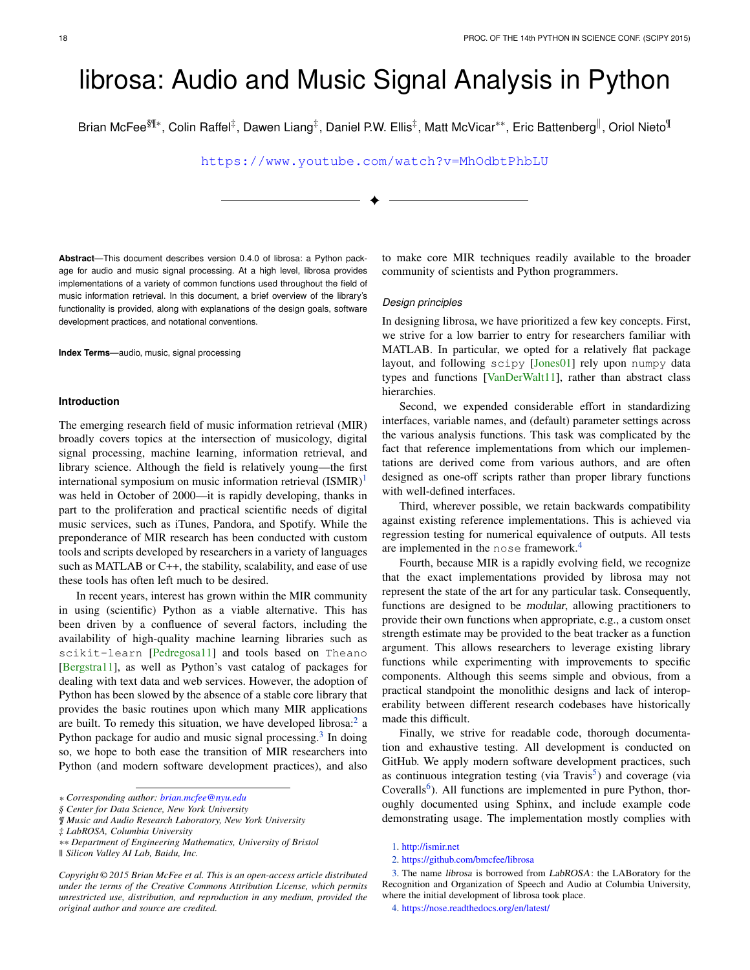# librosa: Audio and Music Signal Analysis in Python

Brian McFee $^{\S\%*}$ , Colin Raffel $^\ddagger$ , Dawen Liang $^\ddagger$ , Daniel P.W. Ellis $^\ddagger$ , Matt McVicar\*\*, Eric Battenberg<sup>∥</sup>, Oriol Nieto<sup>¶</sup>

<https://www.youtube.com/watch?v=MhOdbtPhbLU>

✦

**Abstract**—This document describes version 0.4.0 of librosa: a Python package for audio and music signal processing. At a high level, librosa provides implementations of a variety of common functions used throughout the field of music information retrieval. In this document, a brief overview of the library's functionality is provided, along with explanations of the design goals, software development practices, and notational conventions.

**Index Terms**—audio, music, signal processing

#### **Introduction**

The emerging research field of music information retrieval (MIR) broadly covers topics at the intersection of musicology, digital signal processing, machine learning, information retrieval, and library science. Although the field is relatively young—the first international symposium on music information retrieval  $(ISMIR)^1$  $(ISMIR)^1$ was held in October of 2000—it is rapidly developing, thanks in part to the proliferation and practical scientific needs of digital music services, such as iTunes, Pandora, and Spotify. While the preponderance of MIR research has been conducted with custom tools and scripts developed by researchers in a variety of languages such as MATLAB or C++, the stability, scalability, and ease of use these tools has often left much to be desired.

In recent years, interest has grown within the MIR community in using (scientific) Python as a viable alternative. This has been driven by a confluence of several factors, including the availability of high-quality machine learning libraries such as scikit-learn [\[Pedregosa11\]](#page-5-0) and tools based on Theano [\[Bergstra11\]](#page-6-0), as well as Python's vast catalog of packages for dealing with text data and web services. However, the adoption of Python has been slowed by the absence of a stable core library that provides the basic routines upon which many MIR applications are built. To remedy this situation, we have developed librosa: $2$  a Python package for audio and music signal processing.<sup>[3](#page-0-2)</sup> In doing so, we hope to both ease the transition of MIR researchers into Python (and modern software development practices), and also

to make core MIR techniques readily available to the broader community of scientists and Python programmers.

#### *Design principles*

In designing librosa, we have prioritized a few key concepts. First, we strive for a low barrier to entry for researchers familiar with MATLAB. In particular, we opted for a relatively flat package layout, and following scipy [\[Jones01\]](#page-6-1) rely upon numpy data types and functions [\[VanDerWalt11\]](#page-6-2), rather than abstract class hierarchies.

Second, we expended considerable effort in standardizing interfaces, variable names, and (default) parameter settings across the various analysis functions. This task was complicated by the fact that reference implementations from which our implementations are derived come from various authors, and are often designed as one-off scripts rather than proper library functions with well-defined interfaces.

<span id="page-0-4"></span>Third, wherever possible, we retain backwards compatibility against existing reference implementations. This is achieved via regression testing for numerical equivalence of outputs. All tests are implemented in the nose framework.[4](#page-0-3)

<span id="page-0-7"></span>Fourth, because MIR is a rapidly evolving field, we recognize that the exact implementations provided by librosa may not represent the state of the art for any particular task. Consequently, functions are designed to be modular, allowing practitioners to provide their own functions when appropriate, e.g., a custom onset strength estimate may be provided to the beat tracker as a function argument. This allows researchers to leverage existing library functions while experimenting with improvements to specific components. Although this seems simple and obvious, from a practical standpoint the monolithic designs and lack of interoperability between different research codebases have historically made this difficult.

<span id="page-0-6"></span><span id="page-0-5"></span>Finally, we strive for readable code, thorough documentation and exhaustive testing. All development is conducted on GitHub. We apply modern software development practices, such as continuous integration testing (via Travis<sup>[5](#page-1-0)</sup>) and coverage (via Coveralls<sup>[6](#page-1-1)</sup>). All functions are implemented in pure Python, thoroughly documented using Sphinx, and include example code demonstrating usage. The implementation mostly complies with

*<sup>\*</sup> Corresponding author: [brian.mcfee@nyu.edu](mailto:brian.mcfee@nyu.edu)*

*<sup>§</sup> Center for Data Science, New York University*

*<sup>¶</sup> Music and Audio Research Laboratory, New York University*

*<sup>‡</sup> LabROSA, Columbia University*

*<sup>\*\*</sup> Department of Engineering Mathematics, University of Bristol*

*<sup>||</sup> Silicon Valley AI Lab, Baidu, Inc.*

*Copyright © 2015 Brian McFee et al. This is an open-access article distributed under the terms of the Creative Commons Attribution License, which permits unrestricted use, distribution, and reproduction in any medium, provided the original author and source are credited.*

<span id="page-0-9"></span><span id="page-0-8"></span><span id="page-0-0"></span>[<sup>1.</sup>](#page-0-4) <http://ismir.net>

<span id="page-0-2"></span><span id="page-0-1"></span>[<sup>2.</sup>](#page-0-5) <https://github.com/bmcfee/librosa>

[<sup>3.</sup>](#page-0-6) The name librosa is borrowed from LabROSA: the LABoratory for the Recognition and Organization of Speech and Audio at Columbia University, where the initial development of librosa took place.

<span id="page-0-3"></span>[<sup>4.</sup>](#page-0-7) <https://nose.readthedocs.org/en/latest/>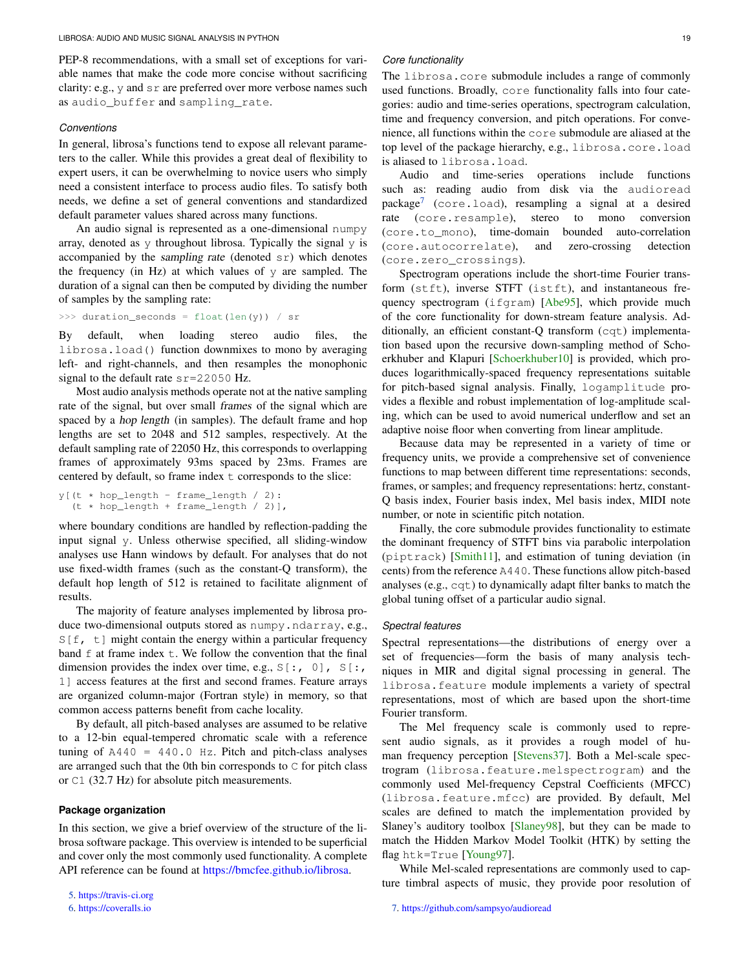PEP-8 recommendations, with a small set of exceptions for variable names that make the code more concise without sacrificing clarity: e.g., y and sr are preferred over more verbose names such as audio\_buffer and sampling\_rate.

#### *Conventions*

In general, librosa's functions tend to expose all relevant parameters to the caller. While this provides a great deal of flexibility to expert users, it can be overwhelming to novice users who simply need a consistent interface to process audio files. To satisfy both needs, we define a set of general conventions and standardized default parameter values shared across many functions.

An audio signal is represented as a one-dimensional numpy array, denoted as  $y$  throughout librosa. Typically the signal  $y$  is accompanied by the sampling rate (denoted  $sr$ ) which denotes the frequency (in Hz) at which values of y are sampled. The duration of a signal can then be computed by dividing the number of samples by the sampling rate:

```
>>> duration_seconds = float(len(y)) / sr
```
By default, when loading stereo audio files, the librosa.load() function downmixes to mono by averaging left- and right-channels, and then resamples the monophonic signal to the default rate  $sr=22050$  Hz.

Most audio analysis methods operate not at the native sampling rate of the signal, but over small frames of the signal which are spaced by a hop length (in samples). The default frame and hop lengths are set to 2048 and 512 samples, respectively. At the default sampling rate of 22050 Hz, this corresponds to overlapping frames of approximately 93ms spaced by 23ms. Frames are centered by default, so frame index t corresponds to the slice:

```
y (t * hop length - frame length / 2):
  (t * hop_length + frame_length / 2)],
```
where boundary conditions are handled by reflection-padding the input signal y. Unless otherwise specified, all sliding-window analyses use Hann windows by default. For analyses that do not use fixed-width frames (such as the constant-Q transform), the default hop length of 512 is retained to facilitate alignment of results.

The majority of feature analyses implemented by librosa produce two-dimensional outputs stored as numpy.ndarray, e.g.,  $S[f, t]$  might contain the energy within a particular frequency band  $f$  at frame index  $f$ . We follow the convention that the final dimension provides the index over time, e.g.,  $S[:, 0], S[:,$ 1] access features at the first and second frames. Feature arrays are organized column-major (Fortran style) in memory, so that common access patterns benefit from cache locality.

By default, all pitch-based analyses are assumed to be relative to a 12-bin equal-tempered chromatic scale with a reference tuning of  $A440 = 440.0$  Hz. Pitch and pitch-class analyses are arranged such that the 0th bin corresponds to C for pitch class or C1 (32.7 Hz) for absolute pitch measurements.

# **Package organization**

In this section, we give a brief overview of the structure of the librosa software package. This overview is intended to be superficial and cover only the most commonly used functionality. A complete API reference can be found at [https://bmcfee.github.io/librosa.](https://bmcfee.github.io/librosa)

```
6. https://coveralls.io
```
#### *Core functionality*

The librosa.core submodule includes a range of commonly used functions. Broadly, core functionality falls into four categories: audio and time-series operations, spectrogram calculation, time and frequency conversion, and pitch operations. For convenience, all functions within the core submodule are aliased at the top level of the package hierarchy, e.g., librosa.core.load is aliased to librosa.load.

<span id="page-1-3"></span>Audio and time-series operations include functions such as: reading audio from disk via the audioread package[7](#page-1-2) (core.load), resampling a signal at a desired rate (core.resample), stereo to mono conversion (core.to\_mono), time-domain bounded auto-correlation (core.autocorrelate), and zero-crossing detection (core.zero\_crossings).

Spectrogram operations include the short-time Fourier transform (stft), inverse STFT (istft), and instantaneous fre-quency spectrogram (ifgram) [\[Abe95\]](#page-6-3), which provide much of the core functionality for down-stream feature analysis. Additionally, an efficient constant-Q transform (cqt) implementation based upon the recursive down-sampling method of Schoerkhuber and Klapuri [\[Schoerkhuber10\]](#page-6-4) is provided, which produces logarithmically-spaced frequency representations suitable for pitch-based signal analysis. Finally, logamplitude provides a flexible and robust implementation of log-amplitude scaling, which can be used to avoid numerical underflow and set an adaptive noise floor when converting from linear amplitude.

Because data may be represented in a variety of time or frequency units, we provide a comprehensive set of convenience functions to map between different time representations: seconds, frames, or samples; and frequency representations: hertz, constant-Q basis index, Fourier basis index, Mel basis index, MIDI note number, or note in scientific pitch notation.

Finally, the core submodule provides functionality to estimate the dominant frequency of STFT bins via parabolic interpolation (piptrack) [\[Smith11\]](#page-6-5), and estimation of tuning deviation (in cents) from the reference A440. These functions allow pitch-based analyses (e.g., cqt) to dynamically adapt filter banks to match the global tuning offset of a particular audio signal.

#### *Spectral features*

Spectral representations—the distributions of energy over a set of frequencies—form the basis of many analysis techniques in MIR and digital signal processing in general. The librosa.feature module implements a variety of spectral representations, most of which are based upon the short-time Fourier transform.

The Mel frequency scale is commonly used to represent audio signals, as it provides a rough model of human frequency perception [\[Stevens37\]](#page-6-6). Both a Mel-scale spectrogram (librosa.feature.melspectrogram) and the commonly used Mel-frequency Cepstral Coefficients (MFCC) (librosa.feature.mfcc) are provided. By default, Mel scales are defined to match the implementation provided by Slaney's auditory toolbox [\[Slaney98\]](#page-6-7), but they can be made to match the Hidden Markov Model Toolkit (HTK) by setting the flag htk=True [\[Young97\]](#page-6-8).

<span id="page-1-2"></span>While Mel-scaled representations are commonly used to capture timbral aspects of music, they provide poor resolution of

<span id="page-1-0"></span>[<sup>5.</sup>](#page-0-8) <https://travis-ci.org>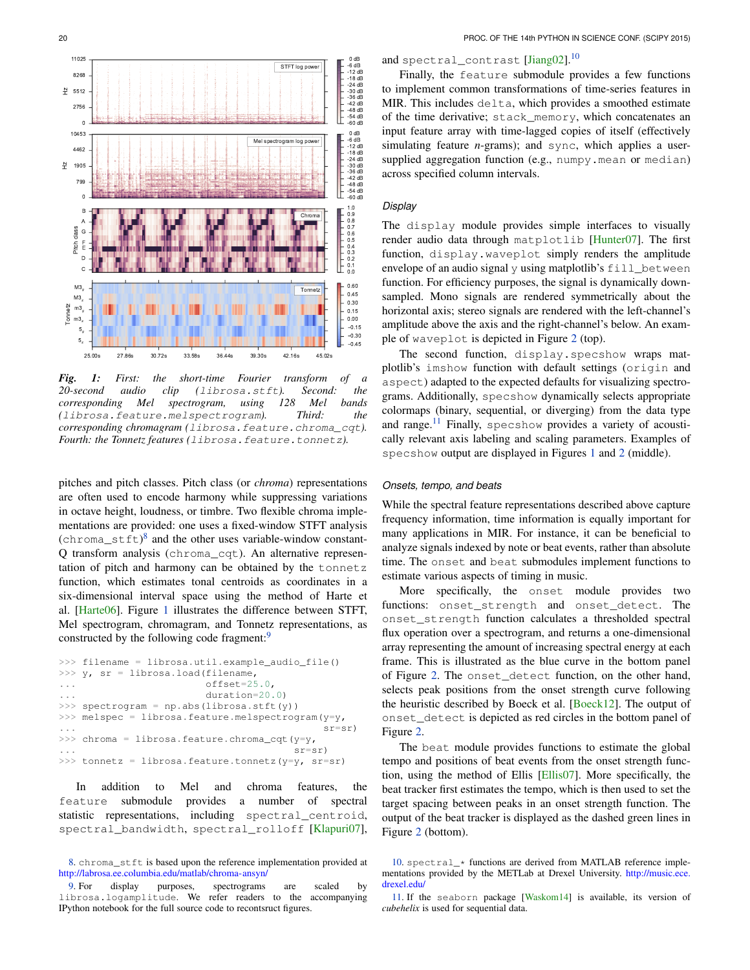<span id="page-2-1"></span>

*Fig. 1: First: the short-time Fourier transform of a 20-second audio clip (*librosa.stft*). Second: the corresponding Mel spectrogram, using 128 Mel bands (*librosa.feature.melspectrogram*). Third: the corresponding chromagram (*librosa.feature.chroma\_cqt*). Fourth: the Tonnetz features (*librosa.feature.tonnetz*).*

<span id="page-2-3"></span>pitches and pitch classes. Pitch class (or *chroma*) representations are often used to encode harmony while suppressing variations in octave height, loudness, or timbre. Two flexible chroma implementations are provided: one uses a fixed-window STFT analysis  $(chroma_setft)^8$  $(chroma_setft)^8$  and the other uses variable-window constant-Q transform analysis (chroma\_cqt). An alternative representation of pitch and harmony can be obtained by the tonnetz function, which estimates tonal centroids as coordinates in a six-dimensional interval space using the method of Harte et al. [\[Harte06\]](#page-6-9). Figure [1](#page-2-1) illustrates the difference between STFT, Mel spectrogram, chromagram, and Tonnetz representations, as constructed by the following code fragment:<sup>[9](#page-2-2)</sup>

```
>>> filename = librosa.util.example_audio_file()
>>> y, sr = librosa.load(filename,
... offset=25.0,
... duration=20.0)
\gg spectrogram = np.abs(librosa.stft(y))
>>> melspec = librosa.feature.melspectrogram(y=y,
... sr=sr)
>>> chroma = librosa.feature.chroma_cqt(y=y,
                                sr = sr)
>>> tonnetz = librosa.feature.tonnetz(y=y, sr=sr)
```
In addition to Mel and chroma features, the feature submodule provides a number of spectral statistic representations, including spectral\_centroid, spectral\_bandwidth, spectral\_rolloff [\[Klapuri07\]](#page-6-10),

# <span id="page-2-7"></span>and spectral\_contrast [\[Jiang02\]](#page-6-11).<sup>[10](#page-2-5)</sup>

Finally, the feature submodule provides a few functions to implement common transformations of time-series features in MIR. This includes delta, which provides a smoothed estimate of the time derivative; stack\_memory, which concatenates an input feature array with time-lagged copies of itself (effectively simulating feature *n*-grams); and sync, which applies a usersupplied aggregation function (e.g., numpy.mean or median) across specified column intervals.

# *Display*

The display module provides simple interfaces to visually render audio data through matplotlib [\[Hunter07\]](#page-6-12). The first function, display.waveplot simply renders the amplitude envelope of an audio signal  $y$  using matplotlib's  $fill$  between function. For efficiency purposes, the signal is dynamically downsampled. Mono signals are rendered symmetrically about the horizontal axis; stereo signals are rendered with the left-channel's amplitude above the axis and the right-channel's below. An example of waveplot is depicted in Figure [2](#page-3-0) (top).

The second function, display.specshow wraps matplotlib's imshow function with default settings (origin and aspect) adapted to the expected defaults for visualizing spectrograms. Additionally, specshow dynamically selects appropriate colormaps (binary, sequential, or diverging) from the data type and range.<sup>[11](#page-2-6)</sup> Finally, specshow provides a variety of acoustically relevant axis labeling and scaling parameters. Examples of specshow output are displayed in Figures [1](#page-2-1) and [2](#page-3-0) (middle).

# <span id="page-2-8"></span>*Onsets, tempo, and beats*

While the spectral feature representations described above capture frequency information, time information is equally important for many applications in MIR. For instance, it can be beneficial to analyze signals indexed by note or beat events, rather than absolute time. The onset and beat submodules implement functions to estimate various aspects of timing in music.

<span id="page-2-4"></span>More specifically, the onset module provides two functions: onset\_strength and onset\_detect. The onset\_strength function calculates a thresholded spectral flux operation over a spectrogram, and returns a one-dimensional array representing the amount of increasing spectral energy at each frame. This is illustrated as the blue curve in the bottom panel of Figure [2.](#page-3-0) The onset\_detect function, on the other hand, selects peak positions from the onset strength curve following the heuristic described by Boeck et al. [\[Boeck12\]](#page-6-13). The output of onset\_detect is depicted as red circles in the bottom panel of Figure [2.](#page-3-0)

The beat module provides functions to estimate the global tempo and positions of beat events from the onset strength function, using the method of Ellis [\[Ellis07\]](#page-6-14). More specifically, the beat tracker first estimates the tempo, which is then used to set the target spacing between peaks in an onset strength function. The output of the beat tracker is displayed as the dashed green lines in Figure [2](#page-3-0) (bottom).

<span id="page-2-0"></span>[<sup>8.</sup>](#page-2-3) chroma\_stft is based upon the reference implementation provided at <http://labrosa.ee.columbia.edu/matlab/chroma-ansyn/>

<span id="page-2-2"></span>[<sup>9.</sup>](#page-2-4) For display purposes, spectrograms are scaled by librosa.logamplitude. We refer readers to the accompanying IPython notebook for the full source code to recontsruct figures.

<span id="page-2-5"></span>[<sup>10.</sup>](#page-2-7) spectral\_\* functions are derived from MATLAB reference implementations provided by the METLab at Drexel University. [http://music.ece.](http://music.ece.drexel.edu/) [drexel.edu/](http://music.ece.drexel.edu/)

<span id="page-2-6"></span>[<sup>11.</sup>](#page-2-8) If the seaborn package [\[Waskom14\]](#page-6-15) is available, its version of *cubehelix* is used for sequential data.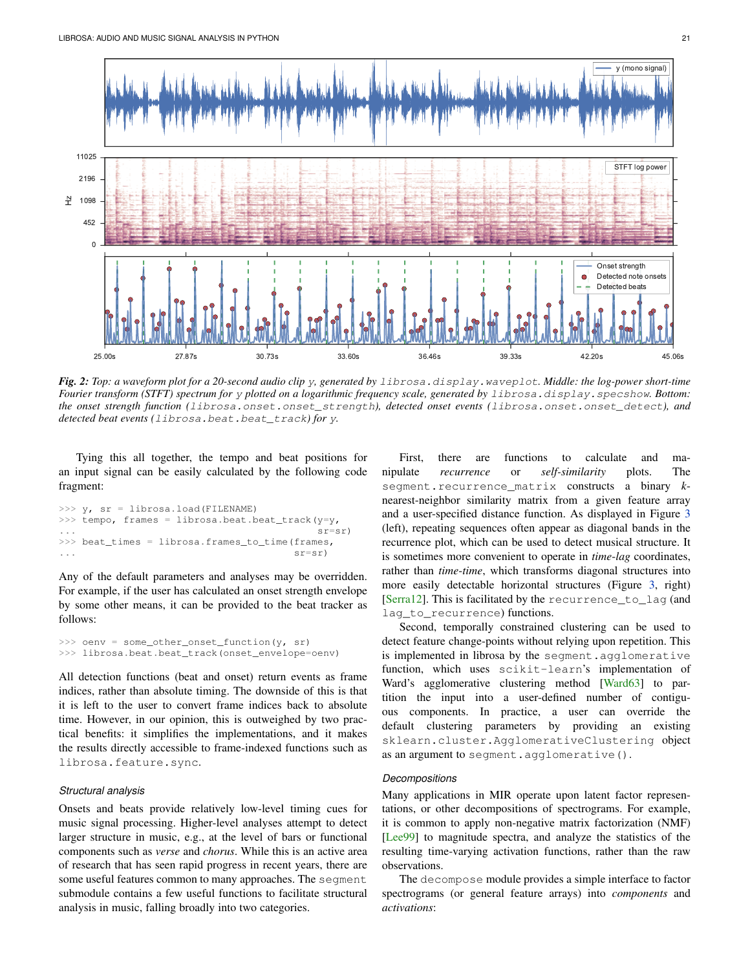<span id="page-3-0"></span>

*Fig. 2: Top: a waveform plot for a 20-second audio clip* y*, generated by* librosa.display.waveplot*. Middle: the log-power short-time Fourier transform (STFT) spectrum for* y *plotted on a logarithmic frequency scale, generated by* librosa.display.specshow*. Bottom: the onset strength function (*librosa.onset.onset\_strength*), detected onset events (*librosa.onset.onset\_detect*), and detected beat events (*librosa.beat.beat\_track*) for* y*.*

Tying this all together, the tempo and beat positions for an input signal can be easily calculated by the following code fragment:

```
>> v, sr = librosa.load(FILENAME)>>> tempo, frames = librosa.beat.beat_track(y=y,
... sr=sr)
>>> beat_times = librosa.frames_to_time(frames,
... sr=sr)
```
Any of the default parameters and analyses may be overridden. For example, if the user has calculated an onset strength envelope by some other means, it can be provided to the beat tracker as follows:

```
>>> oenv = some_other_onset_function(y, sr)
>>> librosa.beat.beat_track(onset_envelope=oenv)
```
All detection functions (beat and onset) return events as frame indices, rather than absolute timing. The downside of this is that it is left to the user to convert frame indices back to absolute time. However, in our opinion, this is outweighed by two practical benefits: it simplifies the implementations, and it makes the results directly accessible to frame-indexed functions such as librosa.feature.sync.

#### *Structural analysis*

Onsets and beats provide relatively low-level timing cues for music signal processing. Higher-level analyses attempt to detect larger structure in music, e.g., at the level of bars or functional components such as *verse* and *chorus*. While this is an active area of research that has seen rapid progress in recent years, there are some useful features common to many approaches. The segment submodule contains a few useful functions to facilitate structural analysis in music, falling broadly into two categories.

First, there are functions to calculate and manipulate *recurrence* or *self-similarity* plots. The segment.recurrence\_matrix constructs a binary *k*nearest-neighbor similarity matrix from a given feature array and a user-specified distance function. As displayed in Figure [3](#page-4-0) (left), repeating sequences often appear as diagonal bands in the recurrence plot, which can be used to detect musical structure. It is sometimes more convenient to operate in *time*-*lag* coordinates, rather than *time*-*time*, which transforms diagonal structures into more easily detectable horizontal structures (Figure [3,](#page-4-0) right) [\[Serra12\]](#page-6-16). This is facilitated by the recurrence\_to\_lag (and lag\_to\_recurrence) functions.

Second, temporally constrained clustering can be used to detect feature change-points without relying upon repetition. This is implemented in librosa by the segment.agglomerative function, which uses scikit-learn's implementation of Ward's agglomerative clustering method [\[Ward63\]](#page-6-17) to partition the input into a user-defined number of contiguous components. In practice, a user can override the default clustering parameters by providing an existing sklearn.cluster.AgglomerativeClustering object as an argument to segment.agglomerative().

# *Decompositions*

Many applications in MIR operate upon latent factor representations, or other decompositions of spectrograms. For example, it is common to apply non-negative matrix factorization (NMF) [\[Lee99\]](#page-6-18) to magnitude spectra, and analyze the statistics of the resulting time-varying activation functions, rather than the raw observations.

The decompose module provides a simple interface to factor spectrograms (or general feature arrays) into *components* and *activations*: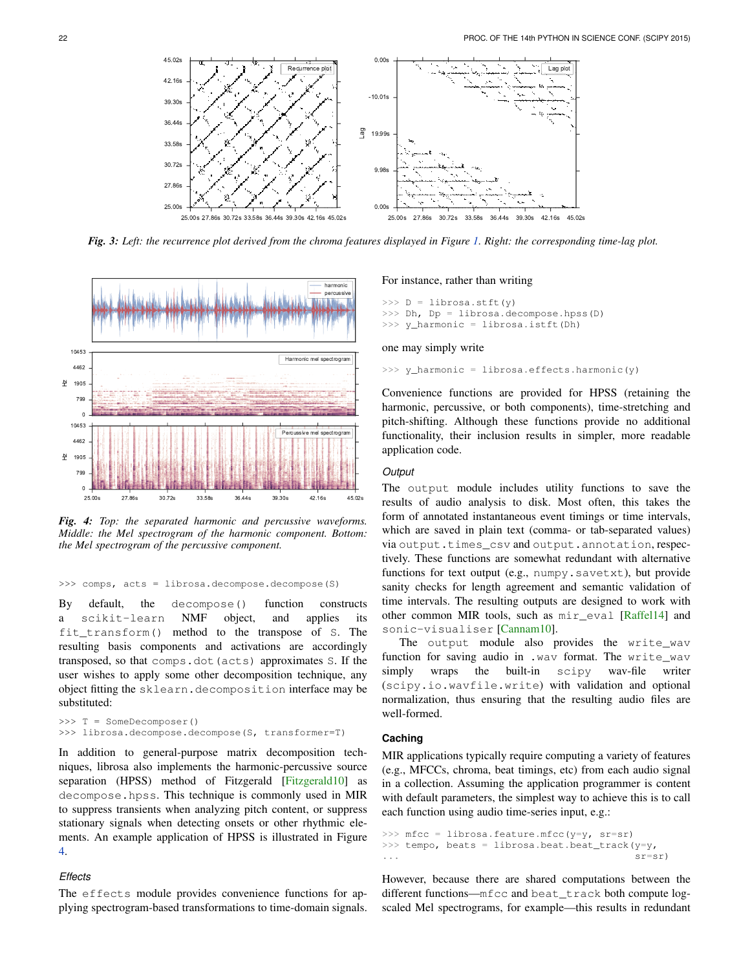Lag plot

*Fig. 3: Left: the recurrence plot derived from the chroma features displayed in Figure [1.](#page-2-1) Right: the corresponding time-lag plot.*

0.00s

9.98s

19.99s

Lag

-10.01s

0.00s

<span id="page-4-1"></span>

<span id="page-4-0"></span>25.00s 27.86s 30.72s 33.58s 36.44s 39.30s 42.16s 45.02s

25.00s 27.86s 30.72s 33.58s 36.44s 39.30s 42.16s 45.02s

Recurrence plo

*Fig. 4: Top: the separated harmonic and percussive waveforms. Middle: the Mel spectrogram of the harmonic component. Bottom: the Mel spectrogram of the percussive component.*

#### >>> comps, acts = librosa.decompose.decompose(S)

By default, the decompose() function constructs a scikit-learn NMF object, and applies its fit\_transform() method to the transpose of S. The resulting basis components and activations are accordingly transposed, so that comps.dot(acts) approximates S. If the user wishes to apply some other decomposition technique, any object fitting the sklearn.decomposition interface may be substituted:

```
>>> T = SomeDecomposer()
>>> librosa.decompose.decompose(S, transformer=T)
```
In addition to general-purpose matrix decomposition techniques, librosa also implements the harmonic-percussive source separation (HPSS) method of Fitzgerald [\[Fitzgerald10\]](#page-6-19) as decompose.hpss. This technique is commonly used in MIR to suppress transients when analyzing pitch content, or suppress stationary signals when detecting onsets or other rhythmic elements. An example application of HPSS is illustrated in Figure [4.](#page-4-1)

# *Effects*

The effects module provides convenience functions for applying spectrogram-based transformations to time-domain signals.

#### For instance, rather than writing

```
>>> D = librosa.stft(y)
>>> Dh, Dp = librosa.decompose.hpss(D)
>>> y_harmonic = librosa.istft(Dh)
```
25.00s 27.86s 30.72s 33.58s 36.44s 39.30s 42.16s 45.02s

#### one may simply write

>>> y\_harmonic = librosa.effects.harmonic(y)

Convenience functions are provided for HPSS (retaining the harmonic, percussive, or both components), time-stretching and pitch-shifting. Although these functions provide no additional functionality, their inclusion results in simpler, more readable application code.

#### *Output*

The output module includes utility functions to save the results of audio analysis to disk. Most often, this takes the form of annotated instantaneous event timings or time intervals, which are saved in plain text (comma- or tab-separated values) via output.times\_csv and output.annotation, respectively. These functions are somewhat redundant with alternative functions for text output (e.g., numpy.savetxt), but provide sanity checks for length agreement and semantic validation of time intervals. The resulting outputs are designed to work with other common MIR tools, such as mir\_eval [\[Raffel14\]](#page-6-20) and sonic-visualiser [\[Cannam10\]](#page-6-21).

The output module also provides the write\_wav function for saving audio in .wav format. The write\_wav simply wraps the built-in scipy wav-file writer (scipy.io.wavfile.write) with validation and optional normalization, thus ensuring that the resulting audio files are well-formed.

# **Caching**

MIR applications typically require computing a variety of features (e.g., MFCCs, chroma, beat timings, etc) from each audio signal in a collection. Assuming the application programmer is content with default parameters, the simplest way to achieve this is to call each function using audio time-series input, e.g.:

```
>>> mfcc = librosa.feature.mfcc(y=y, sr=sr)
>>> tempo, beats = librosa.beat.beat_track(y=y,
                                            sr=sr)
```
However, because there are shared computations between the different functions—mfcc and beat\_track both compute logscaled Mel spectrograms, for example—this results in redundant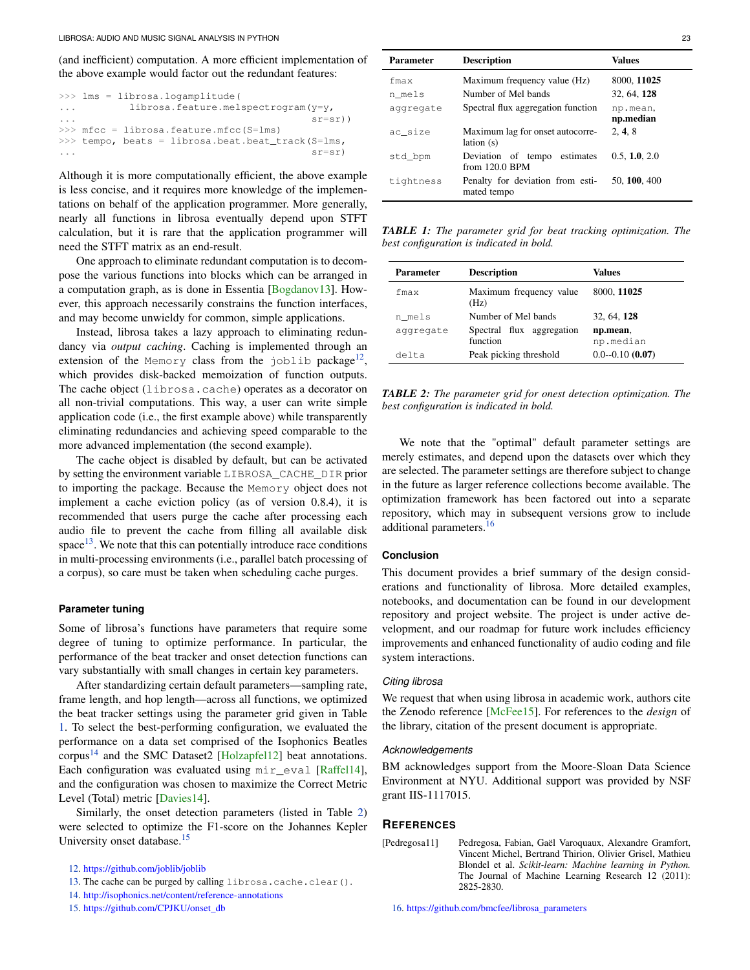(and inefficient) computation. A more efficient implementation of the above example would factor out the redundant features:

|                         | $\gg$ lms = librosa.logamplitude(                    |
|-------------------------|------------------------------------------------------|
| $\sim$ $\sim$ $\sim$    | librosa.feature.melspectrogram(y=y,                  |
| $\cdot$ $\cdot$ $\cdot$ | $sr = sr)$ )                                         |
|                         | $\gg$ mfcc = librosa.feature.mfcc(S=lms)             |
|                         | $\gg$ tempo, beats = librosa.beat.beat track (S=lms, |
|                         | $s$ r= $sr$ )                                        |

Although it is more computationally efficient, the above example is less concise, and it requires more knowledge of the implementations on behalf of the application programmer. More generally, nearly all functions in librosa eventually depend upon STFT calculation, but it is rare that the application programmer will need the STFT matrix as an end-result.

One approach to eliminate redundant computation is to decompose the various functions into blocks which can be arranged in a computation graph, as is done in Essentia [\[Bogdanov13\]](#page-6-22). However, this approach necessarily constrains the function interfaces, and may become unwieldy for common, simple applications.

Instead, librosa takes a lazy approach to eliminating redundancy via *output caching*. Caching is implemented through an extension of the Memory class from the joblib package<sup>[12](#page-5-1)</sup>, which provides disk-backed memoization of function outputs. The cache object (librosa.cache) operates as a decorator on all non-trivial computations. This way, a user can write simple application code (i.e., the first example above) while transparently eliminating redundancies and achieving speed comparable to the more advanced implementation (the second example).

The cache object is disabled by default, but can be activated by setting the environment variable LIBROSA\_CACHE\_DIR prior to importing the package. Because the Memory object does not implement a cache eviction policy (as of version 0.8.4), it is recommended that users purge the cache after processing each audio file to prevent the cache from filling all available disk  $space<sup>13</sup>$  $space<sup>13</sup>$  $space<sup>13</sup>$ . We note that this can potentially introduce race conditions in multi-processing environments (i.e., parallel batch processing of a corpus), so care must be taken when scheduling cache purges.

#### <span id="page-5-8"></span>**Parameter tuning**

Some of librosa's functions have parameters that require some degree of tuning to optimize performance. In particular, the performance of the beat tracker and onset detection functions can vary substantially with small changes in certain key parameters.

After standardizing certain default parameters—sampling rate, frame length, and hop length—across all functions, we optimized the beat tracker settings using the parameter grid given in Table [1.](#page-5-3) To select the best-performing configuration, we evaluated the performance on a data set comprised of the Isophonics Beatles corpus<sup>[14](#page-5-4)</sup> and the SMC Dataset2 [\[Holzapfel12\]](#page-6-23) beat annotations. Each configuration was evaluated using mir eval [\[Raffel14\]](#page-6-20), and the configuration was chosen to maximize the Correct Metric Level (Total) metric [\[Davies14\]](#page-6-24).

<span id="page-5-9"></span>Similarly, the onset detection parameters (listed in Table [2\)](#page-5-5) were selected to optimize the F1-score on the Johannes Kepler University onset database.<sup>[15](#page-5-6)</sup>

- <span id="page-5-4"></span>[14.](#page-5-9) <http://isophonics.net/content/reference-annotations>
- <span id="page-5-6"></span>[15.](#page-5-10) [https://github.com/CPJKU/onset\\_db](https://github.com/CPJKU/onset_db)

<span id="page-5-3"></span>

| Parameter | <b>Description</b>                               | Values                |
|-----------|--------------------------------------------------|-----------------------|
| fmax      | Maximum frequency value (Hz)                     | 8000, 11025           |
| n mels    | Number of Mel bands                              | 32, 64, 128           |
| aggregate | Spectral flux aggregation function               | np.mean.<br>np.median |
| ac size   | Maximum lag for onset autocorre-<br>lation(s)    | 2, 4, 8               |
| std_bpm   | Deviation of tempo estimates<br>from $120.0$ BPM | 0.5, 1.0, 2.0         |
| tightness | Penalty for deviation from esti-<br>mated tempo  | 50, 100, 400          |

*TABLE 1: The parameter grid for beat tracking optimization. The best configuration is indicated in bold.*

<span id="page-5-5"></span>

| Parameter | <b>Description</b>                    | Values                |
|-----------|---------------------------------------|-----------------------|
| fmax      | Maximum frequency value<br>(Hz)       | 8000, 11025           |
| n mels    | Number of Mel bands                   | 32, 64, 128           |
| aggregate | Spectral flux aggregation<br>function | np.mean,<br>np.median |
| delta     | Peak picking threshold                | $0.0 - 0.10(0.07)$    |

<span id="page-5-7"></span>*TABLE 2: The parameter grid for onest detection optimization. The best configuration is indicated in bold.*

We note that the "optimal" default parameter settings are merely estimates, and depend upon the datasets over which they are selected. The parameter settings are therefore subject to change in the future as larger reference collections become available. The optimization framework has been factored out into a separate repository, which may in subsequent versions grow to include additional parameters.<sup>[16](#page-5-11)</sup>

# <span id="page-5-12"></span>**Conclusion**

This document provides a brief summary of the design considerations and functionality of librosa. More detailed examples, notebooks, and documentation can be found in our development repository and project website. The project is under active development, and our roadmap for future work includes efficiency improvements and enhanced functionality of audio coding and file system interactions.

#### *Citing librosa*

We request that when using librosa in academic work, authors cite the Zenodo reference [\[McFee15\]](#page-6-25). For references to the *design* of the library, citation of the present document is appropriate.

# *Acknowledgements*

BM acknowledges support from the Moore-Sloan Data Science Environment at NYU. Additional support was provided by NSF grant IIS-1117015.

# **REFERENCES**

<span id="page-5-11"></span><span id="page-5-0"></span>[Pedregosa11] Pedregosa, Fabian, Gaël Varoquaux, Alexandre Gramfort, Vincent Michel, Bertrand Thirion, Olivier Grisel, Mathieu Blondel et al. *Scikit-learn: Machine learning in Python.* The Journal of Machine Learning Research 12 (2011): 2825-2830.

<span id="page-5-10"></span><span id="page-5-1"></span>[<sup>12.</sup>](#page-5-7) <https://github.com/joblib/joblib>

<span id="page-5-2"></span>[<sup>13.</sup>](#page-5-8) The cache can be purged by calling librosa.cache.clear().